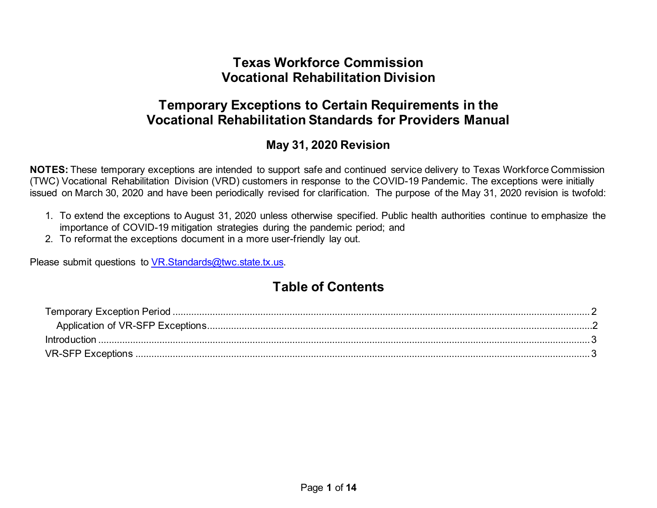### **Texas Workforce Commission Vocational Rehabilitation Division**

# **Temporary Exceptions to Certain Requirements in the Vocational Rehabilitation Standards for Providers Manual**

### **May 31, 2020 Revision**

**NOTES:** These temporary exceptions are intended to support safe and continued service delivery to Texas Workforce Commission (TWC) Vocational Rehabilitation Division (VRD) customers in response to the COVID-19 Pandemic. The exceptions were initially issued on March 30, 2020 and have been periodically revised for clarification. The purpose of the May 31, 2020 revision is twofold:

- 1. To extend the exceptions to August 31, 2020 unless otherwise specified. Public health authorities continue to emphasize the importance of COVID-19 mitigation strategies during the pandemic period; and
- 2. To reformat the exceptions document in a more user-friendly lay out.

Please submit questions to [VR.Standards@twc.state.tx.us.](mailto:VR.Standards@twc.state.tx.us)

# **Table of Contents**

| <b>Introduction</b> |  |
|---------------------|--|
|                     |  |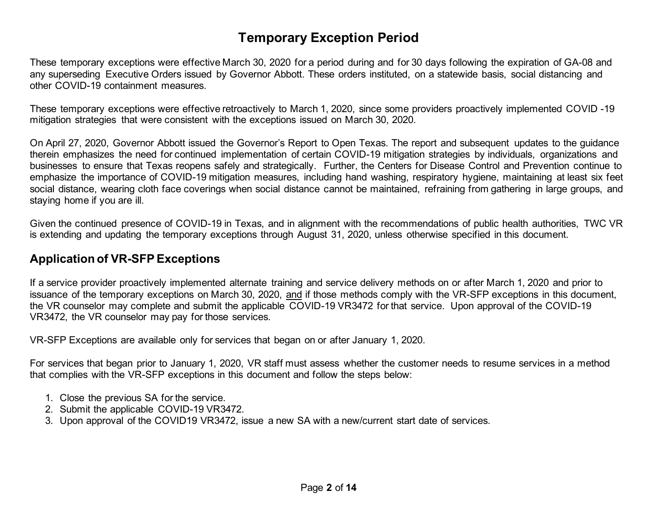# **Temporary Exception Period**

<span id="page-1-0"></span>These temporary exceptions were effective March 30, 2020 for a period during and for 30 days following the expiration of GA-08 and any superseding Executive Orders issued by Governor Abbott. These orders instituted, on a statewide basis, social distancing and other COVID-19 containment measures.

These temporary exceptions were effective retroactively to March 1, 2020, since some providers proactively implemented COVID -19 mitigation strategies that were consistent with the exceptions issued on March 30, 2020.

On April 27, 2020, Governor Abbott issued the Governor's Report to Open Texas. The report and subsequent updates to the guidance therein emphasizes the need for continued implementation of certain COVID-19 mitigation strategies by individuals, organizations and businesses to ensure that Texas reopens safely and strategically. Further, the Centers for Disease Control and Prevention continue to emphasize the importance of COVID-19 mitigation measures, including hand washing, respiratory hygiene, maintaining at least six feet social distance, wearing cloth face coverings when social distance cannot be maintained, refraining from gathering in large groups, and staying home if you are ill.

Given the continued presence of COVID-19 in Texas, and in alignment with the recommendations of public health authorities, TWC VR is extending and updating the temporary exceptions through August 31, 2020, unless otherwise specified in this document.

#### <span id="page-1-1"></span>**Application of VR-SFP Exceptions**

If a service provider proactively implemented alternate training and service delivery methods on or after March 1, 2020 and prior to issuance of the temporary exceptions on March 30, 2020, and if those methods comply with the VR-SFP exceptions in this document, the VR counselor may complete and submit the applicable COVID-19 VR3472 for that service. Upon approval of the COVID-19 VR3472, the VR counselor may pay for those services.

VR-SFP Exceptions are available only for services that began on or after January 1, 2020.

For services that began prior to January 1, 2020, VR staff must assess whether the customer needs to resume services in a method that complies with the VR-SFP exceptions in this document and follow the steps below:

- 1. Close the previous SA for the service.
- 2. Submit the applicable COVID-19 VR3472.
- 3. Upon approval of the COVID19 VR3472, issue a new SA with a new/current start date of services.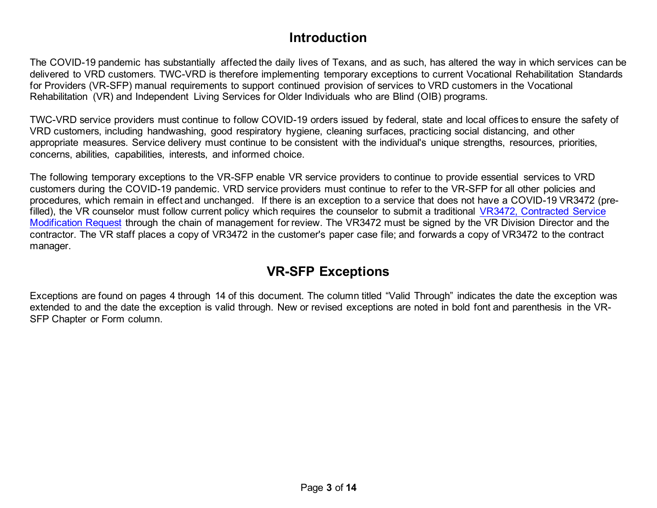### **Introduction**

<span id="page-2-0"></span>The COVID-19 pandemic has substantially affected the daily lives of Texans, and as such, has altered the way in which services can be delivered to VRD customers. TWC-VRD is therefore implementing temporary exceptions to current Vocational Rehabilitation Standards for Providers (VR-SFP) manual requirements to support continued provision of services to VRD customers in the Vocational Rehabilitation (VR) and Independent Living Services for Older Individuals who are Blind (OIB) programs.

TWC-VRD service providers must continue to follow COVID-19 orders issued by federal, state and local offices to ensure the safety of VRD customers, including handwashing, good respiratory hygiene, cleaning surfaces, practicing social distancing, and other appropriate measures. Service delivery must continue to be consistent with the individual's unique strengths, resources, priorities, concerns, abilities, capabilities, interests, and informed choice.

The following temporary exceptions to the VR-SFP enable VR service providers to continue to provide essential services to VRD customers during the COVID-19 pandemic. VRD service providers must continue to refer to the VR-SFP for all other policies and procedures, which remain in effect and unchanged. If there is an exception to a service that does not have a COVID-19 VR3472 (prefilled), the VR counselor must follow current policy which requires the counselor to submit a traditional VR3472, Contracted Service [Modification Request](https://twc.texas.gov/forms/index.html) through the chain of management for review. The VR3472 must be signed by the VR Division Director and the contractor. The VR staff places a copy of VR3472 in the customer's paper case file; and forwards a copy of VR3472 to the contract manager.

# **VR-SFP Exceptions**

<span id="page-2-1"></span>Exceptions are found on pages 4 through 14 of this document. The column titled "Valid Through" indicates the date the exception was extended to and the date the exception is valid through. New or revised exceptions are noted in bold font and parenthesis in the VR-SFP Chapter or Form column.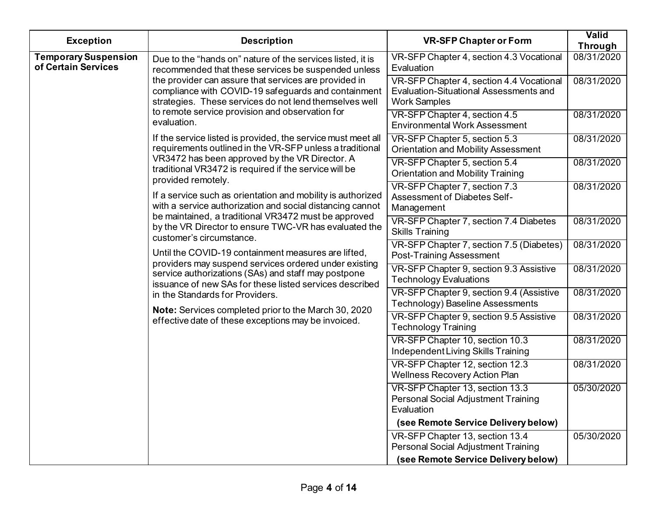| <b>Exception</b>                                   | <b>Description</b>                                                                                                                                                                                                                                                                          | <b>VR-SFP Chapter or Form</b>                                                                                    | Valid<br><b>Through</b> |
|----------------------------------------------------|---------------------------------------------------------------------------------------------------------------------------------------------------------------------------------------------------------------------------------------------------------------------------------------------|------------------------------------------------------------------------------------------------------------------|-------------------------|
| <b>Temporary Suspension</b><br>of Certain Services | Due to the "hands on" nature of the services listed, it is<br>recommended that these services be suspended unless<br>the provider can assure that services are provided in<br>compliance with COVID-19 safeguards and containment<br>strategies. These services do not lend themselves well | VR-SFP Chapter 4, section 4.3 Vocational<br>Evaluation                                                           | 08/31/2020              |
|                                                    |                                                                                                                                                                                                                                                                                             | VR-SFP Chapter 4, section 4.4 Vocational<br><b>Evaluation-Situational Assessments and</b><br><b>Work Samples</b> | 08/31/2020              |
|                                                    | to remote service provision and observation for<br>evaluation.                                                                                                                                                                                                                              | VR-SFP Chapter 4, section 4.5<br><b>Environmental Work Assessment</b>                                            | 08/31/2020              |
|                                                    | If the service listed is provided, the service must meet all<br>requirements outlined in the VR-SFP unless a traditional                                                                                                                                                                    | VR-SFP Chapter 5, section 5.3<br><b>Orientation and Mobility Assessment</b>                                      | 08/31/2020              |
|                                                    | VR3472 has been approved by the VR Director. A<br>traditional VR3472 is required if the service will be<br>provided remotely.                                                                                                                                                               | VR-SFP Chapter 5, section 5.4<br><b>Orientation and Mobility Training</b>                                        | 08/31/2020              |
|                                                    | If a service such as orientation and mobility is authorized<br>with a service authorization and social distancing cannot                                                                                                                                                                    | VR-SFP Chapter 7, section 7.3<br><b>Assessment of Diabetes Self-</b><br>Management                               | 08/31/2020              |
|                                                    | be maintained, a traditional VR3472 must be approved<br>by the VR Director to ensure TWC-VR has evaluated the<br>customer's circumstance.                                                                                                                                                   | VR-SFP Chapter 7, section 7.4 Diabetes<br><b>Skills Training</b>                                                 | 08/31/2020              |
|                                                    | Until the COVID-19 containment measures are lifted,<br>providers may suspend services ordered under existing                                                                                                                                                                                | VR-SFP Chapter 7, section 7.5 (Diabetes)<br><b>Post-Training Assessment</b>                                      | 08/31/2020              |
|                                                    | service authorizations (SAs) and staff may postpone<br>issuance of new SAs for these listed services described                                                                                                                                                                              | VR-SFP Chapter 9, section 9.3 Assistive<br><b>Technology Evaluations</b>                                         | 08/31/2020              |
|                                                    | in the Standards for Providers.                                                                                                                                                                                                                                                             | VR-SFP Chapter 9, section 9.4 (Assistive<br>Technology) Baseline Assessments                                     | 08/31/2020              |
|                                                    | Note: Services completed prior to the March 30, 2020<br>effective date of these exceptions may be invoiced.                                                                                                                                                                                 | VR-SFP Chapter 9, section 9.5 Assistive<br><b>Technology Training</b>                                            | 08/31/2020              |
|                                                    |                                                                                                                                                                                                                                                                                             | VR-SFP Chapter 10, section 10.3<br>Independent Living Skills Training                                            | 08/31/2020              |
|                                                    |                                                                                                                                                                                                                                                                                             | VR-SFP Chapter 12, section 12.3<br><b>Wellness Recovery Action Plan</b>                                          | 08/31/2020              |
|                                                    |                                                                                                                                                                                                                                                                                             | VR-SFP Chapter 13, section 13.3<br>Personal Social Adjustment Training<br>Evaluation                             | 05/30/2020              |
|                                                    |                                                                                                                                                                                                                                                                                             | (see Remote Service Delivery below)                                                                              |                         |
|                                                    |                                                                                                                                                                                                                                                                                             | VR-SFP Chapter 13, section 13.4<br>Personal Social Adjustment Training                                           | 05/30/2020              |
|                                                    |                                                                                                                                                                                                                                                                                             | (see Remote Service Delivery below)                                                                              |                         |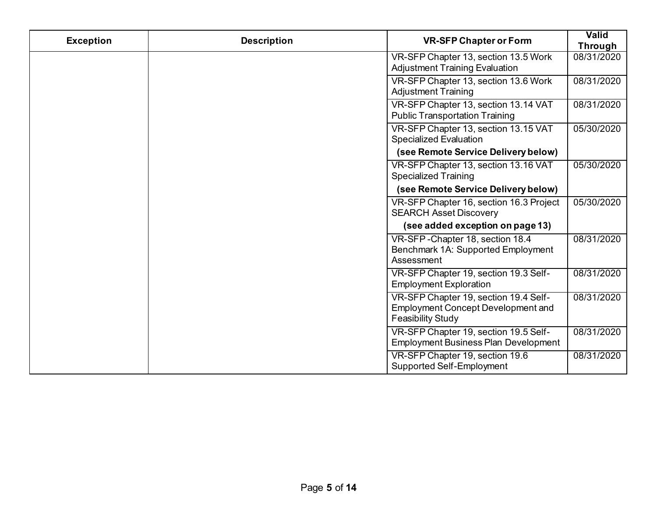| <b>Exception</b> | <b>Description</b> | <b>VR-SFP Chapter or Form</b>                                                                                  | Valid<br><b>Through</b> |
|------------------|--------------------|----------------------------------------------------------------------------------------------------------------|-------------------------|
|                  |                    | VR-SFP Chapter 13, section 13.5 Work<br><b>Adjustment Training Evaluation</b>                                  | 08/31/2020              |
|                  |                    | VR-SFP Chapter 13, section 13.6 Work<br><b>Adjustment Training</b>                                             | 08/31/2020              |
|                  |                    | VR-SFP Chapter 13, section 13.14 VAT<br><b>Public Transportation Training</b>                                  | 08/31/2020              |
|                  |                    | VR-SFP Chapter 13, section 13.15 VAT<br><b>Specialized Evaluation</b>                                          | 05/30/2020              |
|                  |                    | (see Remote Service Delivery below)                                                                            |                         |
|                  |                    | VR-SFP Chapter 13, section 13.16 VAT<br><b>Specialized Training</b>                                            | 05/30/2020              |
|                  |                    | (see Remote Service Delivery below)                                                                            |                         |
|                  |                    | VR-SFP Chapter 16, section 16.3 Project<br><b>SEARCH Asset Discovery</b>                                       | 05/30/2020              |
|                  |                    | (see added exception on page 13)                                                                               |                         |
|                  |                    | VR-SFP-Chapter 18, section 18.4<br>Benchmark 1A: Supported Employment<br>Assessment                            | 08/31/2020              |
|                  |                    | VR-SFP Chapter 19, section 19.3 Self-<br><b>Employment Exploration</b>                                         | 08/31/2020              |
|                  |                    | VR-SFP Chapter 19, section 19.4 Self-<br><b>Employment Concept Development and</b><br><b>Feasibility Study</b> | 08/31/2020              |
|                  |                    | VR-SFP Chapter 19, section 19.5 Self-<br><b>Employment Business Plan Development</b>                           | 08/31/2020              |
|                  |                    | VR-SFP Chapter 19, section 19.6<br>Supported Self-Employment                                                   | 08/31/2020              |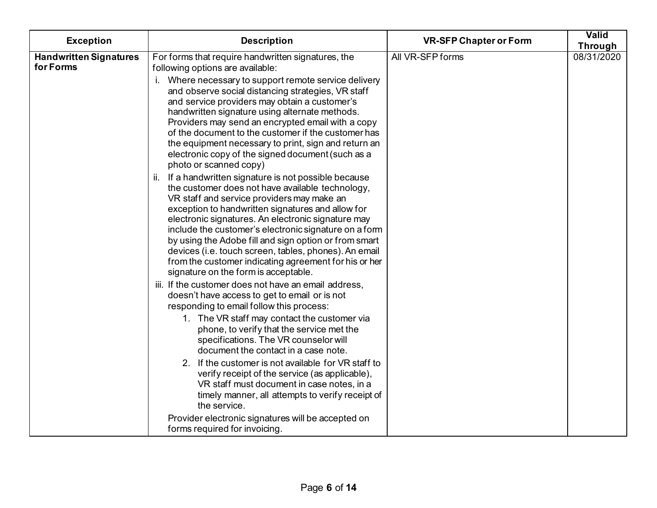| <b>Exception</b>                           | <b>Description</b>                                                                                                                                                                                                                                                                                                                                                                                                                                                                                                                              | <b>VR-SFP Chapter or Form</b> | Valid<br>Through |
|--------------------------------------------|-------------------------------------------------------------------------------------------------------------------------------------------------------------------------------------------------------------------------------------------------------------------------------------------------------------------------------------------------------------------------------------------------------------------------------------------------------------------------------------------------------------------------------------------------|-------------------------------|------------------|
| <b>Handwritten Signatures</b><br>for Forms | For forms that require handwritten signatures, the<br>following options are available:                                                                                                                                                                                                                                                                                                                                                                                                                                                          | All VR-SFP forms              | 08/31/2020       |
|                                            | Where necessary to support remote service delivery<br>and observe social distancing strategies, VR staff<br>and service providers may obtain a customer's<br>handwritten signature using alternate methods.<br>Providers may send an encrypted email with a copy<br>of the document to the customer if the customer has<br>the equipment necessary to print, sign and return an<br>electronic copy of the signed document (such as a<br>photo or scanned copy)                                                                                  |                               |                  |
|                                            | ii. If a handwritten signature is not possible because<br>the customer does not have available technology,<br>VR staff and service providers may make an<br>exception to handwritten signatures and allow for<br>electronic signatures. An electronic signature may<br>include the customer's electronic signature on a form<br>by using the Adobe fill and sign option or from smart<br>devices (i.e. touch screen, tables, phones). An email<br>from the customer indicating agreement for his or her<br>signature on the form is acceptable. |                               |                  |
|                                            | iii. If the customer does not have an email address,<br>doesn't have access to get to email or is not<br>responding to email follow this process:                                                                                                                                                                                                                                                                                                                                                                                               |                               |                  |
|                                            | 1. The VR staff may contact the customer via<br>phone, to verify that the service met the<br>specifications. The VR counselor will<br>document the contact in a case note.                                                                                                                                                                                                                                                                                                                                                                      |                               |                  |
|                                            | 2. If the customer is not available for VR staff to<br>verify receipt of the service (as applicable),<br>VR staff must document in case notes, in a<br>timely manner, all attempts to verify receipt of<br>the service.                                                                                                                                                                                                                                                                                                                         |                               |                  |
|                                            | Provider electronic signatures will be accepted on<br>forms required for invoicing.                                                                                                                                                                                                                                                                                                                                                                                                                                                             |                               |                  |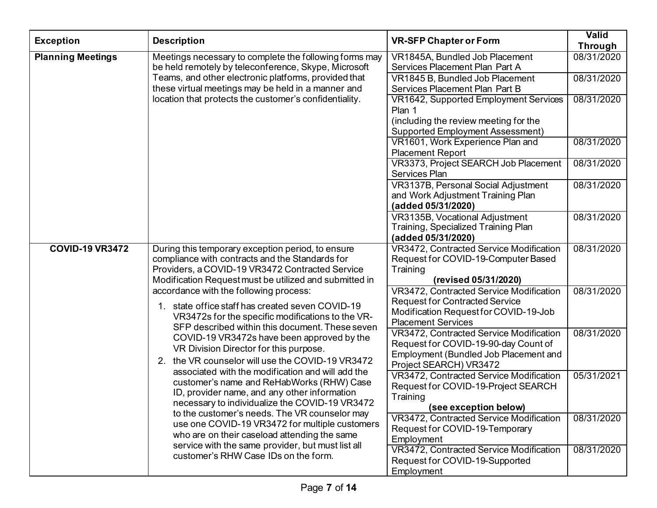| <b>Exception</b>                                                                                                                                                                  | <b>Description</b>                                                                                                                                                                                                                                                                                                                                                                                                                                                                                                                                                                                                                                                                                    | <b>VR-SFP Chapter or Form</b>                                                                                                                          | Valid<br><b>Through</b> |
|-----------------------------------------------------------------------------------------------------------------------------------------------------------------------------------|-------------------------------------------------------------------------------------------------------------------------------------------------------------------------------------------------------------------------------------------------------------------------------------------------------------------------------------------------------------------------------------------------------------------------------------------------------------------------------------------------------------------------------------------------------------------------------------------------------------------------------------------------------------------------------------------------------|--------------------------------------------------------------------------------------------------------------------------------------------------------|-------------------------|
| <b>Planning Meetings</b>                                                                                                                                                          | Meetings necessary to complete the following forms may<br>be held remotely by teleconference, Skype, Microsoft                                                                                                                                                                                                                                                                                                                                                                                                                                                                                                                                                                                        | VR1845A, Bundled Job Placement<br>Services Placement Plan Part A                                                                                       | 08/31/2020              |
|                                                                                                                                                                                   | Teams, and other electronic platforms, provided that<br>these virtual meetings may be held in a manner and                                                                                                                                                                                                                                                                                                                                                                                                                                                                                                                                                                                            | VR1845 B, Bundled Job Placement<br>Services Placement Plan Part B                                                                                      | 08/31/2020              |
|                                                                                                                                                                                   | location that protects the customer's confidentiality.                                                                                                                                                                                                                                                                                                                                                                                                                                                                                                                                                                                                                                                | VR1642, Supported Employment Services<br>Plan 1                                                                                                        | 08/31/2020              |
|                                                                                                                                                                                   |                                                                                                                                                                                                                                                                                                                                                                                                                                                                                                                                                                                                                                                                                                       | (including the review meeting for the<br><b>Supported Employment Assessment)</b>                                                                       |                         |
|                                                                                                                                                                                   |                                                                                                                                                                                                                                                                                                                                                                                                                                                                                                                                                                                                                                                                                                       | VR1601, Work Experience Plan and<br><b>Placement Report</b>                                                                                            | 08/31/2020              |
|                                                                                                                                                                                   |                                                                                                                                                                                                                                                                                                                                                                                                                                                                                                                                                                                                                                                                                                       | VR3373, Project SEARCH Job Placement<br><b>Services Plan</b>                                                                                           | 08/31/2020              |
|                                                                                                                                                                                   |                                                                                                                                                                                                                                                                                                                                                                                                                                                                                                                                                                                                                                                                                                       | VR3137B, Personal Social Adjustment<br>and Work Adjustment Training Plan<br>(added 05/31/2020)                                                         | 08/31/2020              |
|                                                                                                                                                                                   |                                                                                                                                                                                                                                                                                                                                                                                                                                                                                                                                                                                                                                                                                                       | VR3135B, Vocational Adjustment<br>Training, Specialized Training Plan<br>(added 05/31/2020)                                                            | 08/31/2020              |
| <b>COVID-19 VR3472</b><br>During this temporary exception period, to ensure<br>compliance with contracts and the Standards for<br>Providers, a COVID-19 VR3472 Contracted Service | Modification Request must be utilized and submitted in                                                                                                                                                                                                                                                                                                                                                                                                                                                                                                                                                                                                                                                | VR3472, Contracted Service Modification<br>Request for COVID-19-Computer Based<br>Training<br>(revised 05/31/2020)                                     | 08/31/2020              |
|                                                                                                                                                                                   | accordance with the following process:<br>1. state office staff has created seven COVID-19<br>VR3472s for the specific modifications to the VR-<br>SFP described within this document. These seven<br>COVID-19 VR3472s have been approved by the<br>VR Division Director for this purpose.<br>2. the VR counselor will use the COVID-19 VR3472<br>associated with the modification and will add the<br>customer's name and ReHabWorks (RHW) Case<br>ID, provider name, and any other information<br>necessary to individualize the COVID-19 VR3472<br>to the customer's needs. The VR counselor may<br>use one COVID-19 VR3472 for multiple customers<br>who are on their caseload attending the same | VR3472, Contracted Service Modification<br><b>Request for Contracted Service</b><br>Modification Request for COVID-19-Job<br><b>Placement Services</b> | 08/31/2020              |
|                                                                                                                                                                                   |                                                                                                                                                                                                                                                                                                                                                                                                                                                                                                                                                                                                                                                                                                       | VR3472, Contracted Service Modification<br>Request for COVID-19-90-day Count of<br>Employment (Bundled Job Placement and<br>Project SEARCH) VR3472     | 08/31/2020              |
|                                                                                                                                                                                   |                                                                                                                                                                                                                                                                                                                                                                                                                                                                                                                                                                                                                                                                                                       | VR3472, Contracted Service Modification<br>Request for COVID-19-Project SEARCH<br>Training<br>(see exception below)                                    | 05/31/2021              |
|                                                                                                                                                                                   |                                                                                                                                                                                                                                                                                                                                                                                                                                                                                                                                                                                                                                                                                                       | VR3472, Contracted Service Modification<br>Request for COVID-19-Temporary<br>Employment                                                                | 08/31/2020              |
|                                                                                                                                                                                   | service with the same provider, but must list all<br>customer's RHW Case IDs on the form.                                                                                                                                                                                                                                                                                                                                                                                                                                                                                                                                                                                                             | VR3472, Contracted Service Modification<br>Request for COVID-19-Supported<br>Employment                                                                | 08/31/2020              |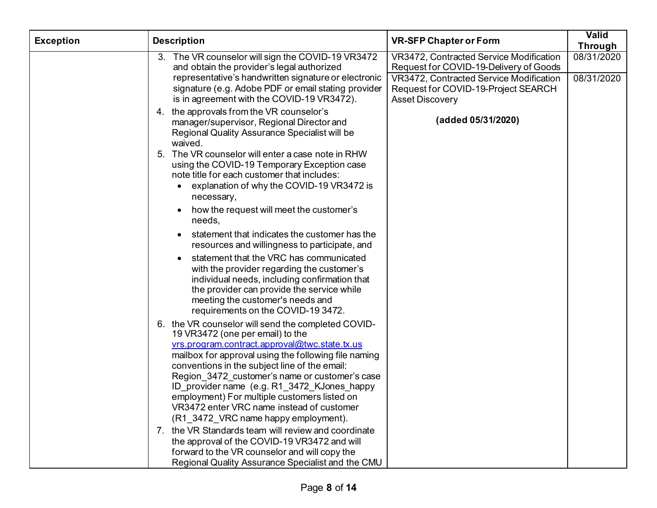| <b>Exception</b> | <b>Description</b>                                                                                                                                                                                                                                                                                                                                                                                                                                                                     | <b>VR-SFP Chapter or Form</b>                                                                            | <b>Valid</b><br>Through |
|------------------|----------------------------------------------------------------------------------------------------------------------------------------------------------------------------------------------------------------------------------------------------------------------------------------------------------------------------------------------------------------------------------------------------------------------------------------------------------------------------------------|----------------------------------------------------------------------------------------------------------|-------------------------|
|                  | 3. The VR counselor will sign the COVID-19 VR3472<br>and obtain the provider's legal authorized                                                                                                                                                                                                                                                                                                                                                                                        | VR3472, Contracted Service Modification<br>Request for COVID-19-Delivery of Goods                        | 08/31/2020              |
|                  | representative's handwritten signature or electronic<br>signature (e.g. Adobe PDF or email stating provider<br>is in agreement with the COVID-19 VR3472).                                                                                                                                                                                                                                                                                                                              | VR3472, Contracted Service Modification<br>Request for COVID-19-Project SEARCH<br><b>Asset Discovery</b> | 08/31/2020              |
|                  | 4. the approvals from the VR counselor's<br>manager/supervisor, Regional Director and<br>Regional Quality Assurance Specialist will be<br>waived.                                                                                                                                                                                                                                                                                                                                      | (added 05/31/2020)                                                                                       |                         |
|                  | 5. The VR counselor will enter a case note in RHW<br>using the COVID-19 Temporary Exception case<br>note title for each customer that includes:<br>explanation of why the COVID-19 VR3472 is<br>necessary,                                                                                                                                                                                                                                                                             |                                                                                                          |                         |
|                  | how the request will meet the customer's<br>needs,                                                                                                                                                                                                                                                                                                                                                                                                                                     |                                                                                                          |                         |
|                  | statement that indicates the customer has the<br>resources and willingness to participate, and                                                                                                                                                                                                                                                                                                                                                                                         |                                                                                                          |                         |
|                  | statement that the VRC has communicated<br>with the provider regarding the customer's<br>individual needs, including confirmation that<br>the provider can provide the service while<br>meeting the customer's needs and<br>requirements on the COVID-19 3472.                                                                                                                                                                                                                         |                                                                                                          |                         |
|                  | 6. the VR counselor will send the completed COVID-<br>19 VR3472 (one per email) to the<br>vrs.program.contract.approval@twc.state.tx.us<br>mailbox for approval using the following file naming<br>conventions in the subject line of the email:<br>Region 3472 customer's name or customer's case<br>ID_provider name (e.g. R1_3472_KJones_happy<br>employment) For multiple customers listed on<br>VR3472 enter VRC name instead of customer<br>(R1_3472_VRC name happy employment). |                                                                                                          |                         |
|                  | 7. the VR Standards team will review and coordinate<br>the approval of the COVID-19 VR3472 and will<br>forward to the VR counselor and will copy the<br>Regional Quality Assurance Specialist and the CMU                                                                                                                                                                                                                                                                              |                                                                                                          |                         |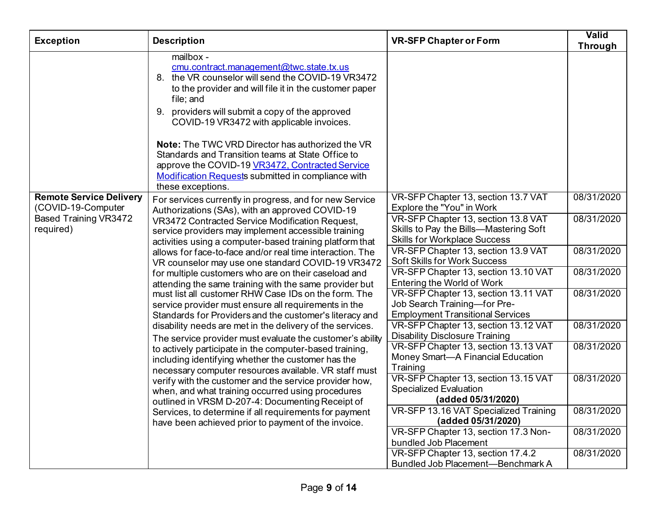| <b>Exception</b>                                                                                  | <b>Description</b>                                                                                                                                                                                                                                                                                                                                                                                                                                                                                                                    | <b>VR-SFP Chapter or Form</b>                                                                                                                     | <b>Valid</b><br><b>Through</b> |
|---------------------------------------------------------------------------------------------------|---------------------------------------------------------------------------------------------------------------------------------------------------------------------------------------------------------------------------------------------------------------------------------------------------------------------------------------------------------------------------------------------------------------------------------------------------------------------------------------------------------------------------------------|---------------------------------------------------------------------------------------------------------------------------------------------------|--------------------------------|
|                                                                                                   | mailbox -<br>cmu.contract.management@twc.state.tx.us<br>8. the VR counselor will send the COVID-19 VR3472<br>to the provider and will file it in the customer paper<br>file; and<br>9. providers will submit a copy of the approved<br>COVID-19 VR3472 with applicable invoices.<br><b>Note:</b> The TWC VRD Director has authorized the VR<br>Standards and Transition teams at State Office to<br>approve the COVID-19 VR3472, Contracted Service<br><b>Modification Requests submitted in compliance with</b><br>these exceptions. |                                                                                                                                                   |                                |
| <b>Remote Service Delivery</b><br>(COVID-19-Computer<br><b>Based Training VR3472</b><br>required) | For services currently in progress, and for new Service<br>Authorizations (SAs), with an approved COVID-19<br>VR3472 Contracted Service Modification Request,<br>service providers may implement accessible training                                                                                                                                                                                                                                                                                                                  | VR-SFP Chapter 13, section 13.7 VAT<br>Explore the "You" in Work<br>VR-SFP Chapter 13, section 13.8 VAT<br>Skills to Pay the Bills-Mastering Soft | 08/31/2020<br>08/31/2020       |
|                                                                                                   | activities using a computer-based training platform that<br>allows for face-to-face and/or real time interaction. The<br>VR counselor may use one standard COVID-19 VR3472                                                                                                                                                                                                                                                                                                                                                            | <b>Skills for Workplace Success</b><br>VR-SFP Chapter 13, section 13.9 VAT<br><b>Soft Skills for Work Success</b>                                 | 08/31/2020                     |
|                                                                                                   | for multiple customers who are on their caseload and<br>attending the same training with the same provider but                                                                                                                                                                                                                                                                                                                                                                                                                        | VR-SFP Chapter 13, section 13.10 VAT<br>Entering the World of Work                                                                                | 08/31/2020                     |
|                                                                                                   | must list all customer RHW Case IDs on the form. The<br>service provider must ensure all requirements in the<br>Standards for Providers and the customer's literacy and                                                                                                                                                                                                                                                                                                                                                               | VR-SFP Chapter 13, section 13.11 VAT<br>Job Search Training-for Pre-<br><b>Employment Transitional Services</b>                                   | 08/31/2020                     |
|                                                                                                   | disability needs are met in the delivery of the services.<br>The service provider must evaluate the customer's ability                                                                                                                                                                                                                                                                                                                                                                                                                | VR-SFP Chapter 13, section 13.12 VAT<br><b>Disability Disclosure Training</b>                                                                     | 08/31/2020                     |
|                                                                                                   | to actively participate in the computer-based training,<br>including identifying whether the customer has the<br>necessary computer resources available. VR staff must                                                                                                                                                                                                                                                                                                                                                                | VR-SFP Chapter 13, section 13.13 VAT<br>Money Smart-A Financial Education<br>Training                                                             | 08/31/2020                     |
|                                                                                                   | verify with the customer and the service provider how,<br>when, and what training occurred using procedures<br>outlined in VRSM D-207-4: Documenting Receipt of                                                                                                                                                                                                                                                                                                                                                                       | VR-SFP Chapter 13, section 13.15 VAT<br><b>Specialized Evaluation</b><br>(added 05/31/2020)                                                       | 08/31/2020                     |
|                                                                                                   | Services, to determine if all requirements for payment<br>have been achieved prior to payment of the invoice.                                                                                                                                                                                                                                                                                                                                                                                                                         | VR-SFP 13.16 VAT Specialized Training<br>(added 05/31/2020)                                                                                       | 08/31/2020                     |
|                                                                                                   |                                                                                                                                                                                                                                                                                                                                                                                                                                                                                                                                       | VR-SFP Chapter 13, section 17.3 Non-<br>bundled Job Placement                                                                                     | 08/31/2020                     |
|                                                                                                   |                                                                                                                                                                                                                                                                                                                                                                                                                                                                                                                                       | VR-SFP Chapter 13, section 17.4.2<br>Bundled Job Placement-Benchmark A                                                                            | 08/31/2020                     |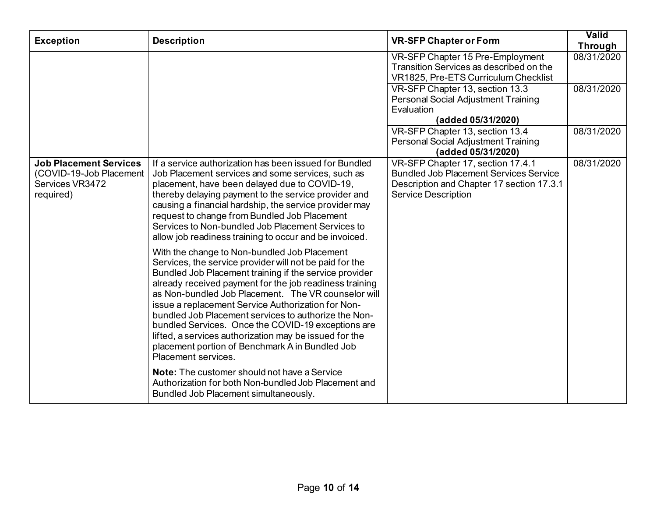| <b>Exception</b>                                                                          | <b>Description</b>                                                                                                                                                                                                                                                                                                                                                                                                                                                                                                                                                                          | <b>VR-SFP Chapter or Form</b>                                                                                                                                 | <b>Valid</b><br>Through |
|-------------------------------------------------------------------------------------------|---------------------------------------------------------------------------------------------------------------------------------------------------------------------------------------------------------------------------------------------------------------------------------------------------------------------------------------------------------------------------------------------------------------------------------------------------------------------------------------------------------------------------------------------------------------------------------------------|---------------------------------------------------------------------------------------------------------------------------------------------------------------|-------------------------|
|                                                                                           |                                                                                                                                                                                                                                                                                                                                                                                                                                                                                                                                                                                             | VR-SFP Chapter 15 Pre-Employment<br>Transition Services as described on the<br>VR1825, Pre-ETS Curriculum Checklist                                           | 08/31/2020              |
|                                                                                           |                                                                                                                                                                                                                                                                                                                                                                                                                                                                                                                                                                                             | VR-SFP Chapter 13, section 13.3<br>Personal Social Adjustment Training<br>Evaluation<br>(added 05/31/2020)                                                    | 08/31/2020              |
|                                                                                           |                                                                                                                                                                                                                                                                                                                                                                                                                                                                                                                                                                                             | VR-SFP Chapter 13, section 13.4<br>Personal Social Adjustment Training<br>(added 05/31/2020)                                                                  | 08/31/2020              |
| <b>Job Placement Services</b><br>(COVID-19-Job Placement)<br>Services VR3472<br>required) | If a service authorization has been issued for Bundled<br>Job Placement services and some services, such as<br>placement, have been delayed due to COVID-19,<br>thereby delaying payment to the service provider and<br>causing a financial hardship, the service provider may<br>request to change from Bundled Job Placement<br>Services to Non-bundled Job Placement Services to<br>allow job readiness training to occur and be invoiced.                                                                                                                                               | VR-SFP Chapter 17, section 17.4.1<br><b>Bundled Job Placement Services Service</b><br>Description and Chapter 17 section 17.3.1<br><b>Service Description</b> | 08/31/2020              |
|                                                                                           | With the change to Non-bundled Job Placement<br>Services, the service provider will not be paid for the<br>Bundled Job Placement training if the service provider<br>already received payment for the job readiness training<br>as Non-bundled Job Placement. The VR counselor will<br>issue a replacement Service Authorization for Non-<br>bundled Job Placement services to authorize the Non-<br>bundled Services. Once the COVID-19 exceptions are<br>lifted, a services authorization may be issued for the<br>placement portion of Benchmark A in Bundled Job<br>Placement services. |                                                                                                                                                               |                         |
|                                                                                           | <b>Note:</b> The customer should not have a Service<br>Authorization for both Non-bundled Job Placement and<br>Bundled Job Placement simultaneously.                                                                                                                                                                                                                                                                                                                                                                                                                                        |                                                                                                                                                               |                         |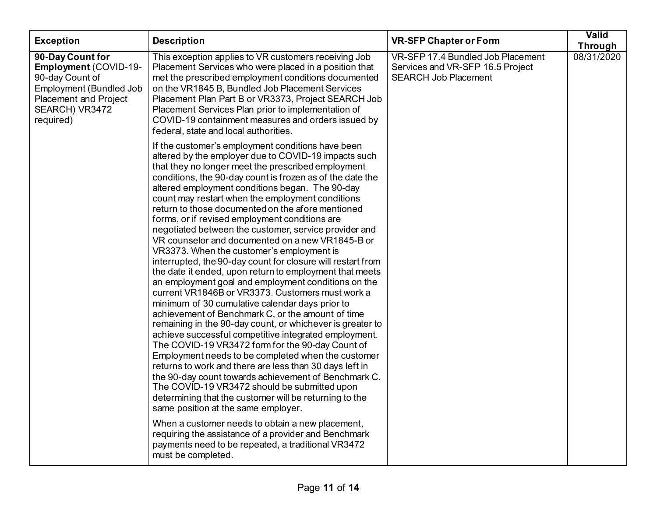| <b>Exception</b>                                                                                                                                              | <b>Description</b>                                                                                                                                                                                                                                                                                                                                                                                                                                                                                                                                                                                                                                                                                                                                                                                                                                                                                                                                                                                                                                                                                                                                                                                                                                                                                                                                                                                                                                                                                                                                                                                                                            | <b>VR-SFP Chapter or Form</b>                                                                        | <b>Valid</b><br>Through |
|---------------------------------------------------------------------------------------------------------------------------------------------------------------|-----------------------------------------------------------------------------------------------------------------------------------------------------------------------------------------------------------------------------------------------------------------------------------------------------------------------------------------------------------------------------------------------------------------------------------------------------------------------------------------------------------------------------------------------------------------------------------------------------------------------------------------------------------------------------------------------------------------------------------------------------------------------------------------------------------------------------------------------------------------------------------------------------------------------------------------------------------------------------------------------------------------------------------------------------------------------------------------------------------------------------------------------------------------------------------------------------------------------------------------------------------------------------------------------------------------------------------------------------------------------------------------------------------------------------------------------------------------------------------------------------------------------------------------------------------------------------------------------------------------------------------------------|------------------------------------------------------------------------------------------------------|-------------------------|
| 90-Day Count for<br>Employment (COVID-19-<br>90-day Count of<br><b>Employment (Bundled Job</b><br><b>Placement and Project</b><br>SEARCH) VR3472<br>required) | This exception applies to VR customers receiving Job<br>Placement Services who were placed in a position that<br>met the prescribed employment conditions documented<br>on the VR1845 B, Bundled Job Placement Services<br>Placement Plan Part B or VR3373, Project SEARCH Job<br>Placement Services Plan prior to implementation of<br>COVID-19 containment measures and orders issued by<br>federal, state and local authorities.                                                                                                                                                                                                                                                                                                                                                                                                                                                                                                                                                                                                                                                                                                                                                                                                                                                                                                                                                                                                                                                                                                                                                                                                           | VR-SFP 17.4 Bundled Job Placement<br>Services and VR-SFP 16.5 Project<br><b>SEARCH Job Placement</b> | 08/31/2020              |
|                                                                                                                                                               | If the customer's employment conditions have been<br>altered by the employer due to COVID-19 impacts such<br>that they no longer meet the prescribed employment<br>conditions, the 90-day count is frozen as of the date the<br>altered employment conditions began. The 90-day<br>count may restart when the employment conditions<br>return to those documented on the afore mentioned<br>forms, or if revised employment conditions are<br>negotiated between the customer, service provider and<br>VR counselor and documented on a new VR1845-B or<br>VR3373. When the customer's employment is<br>interrupted, the 90-day count for closure will restart from<br>the date it ended, upon return to employment that meets<br>an employment goal and employment conditions on the<br>current VR1846B or VR3373. Customers must work a<br>minimum of 30 cumulative calendar days prior to<br>achievement of Benchmark C, or the amount of time<br>remaining in the 90-day count, or whichever is greater to<br>achieve successful competitive integrated employment.<br>The COVID-19 VR3472 form for the 90-day Count of<br>Employment needs to be completed when the customer<br>returns to work and there are less than 30 days left in<br>the 90-day count towards achievement of Benchmark C.<br>The COVID-19 VR3472 should be submitted upon<br>determining that the customer will be returning to the<br>same position at the same employer.<br>When a customer needs to obtain a new placement,<br>requiring the assistance of a provider and Benchmark<br>payments need to be repeated, a traditional VR3472<br>must be completed. |                                                                                                      |                         |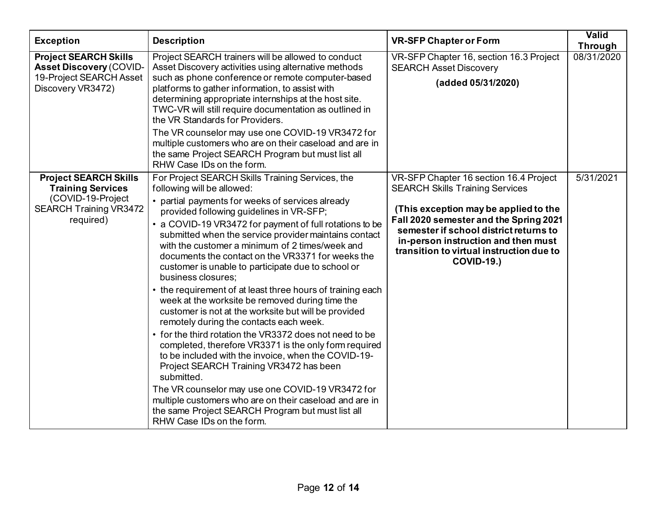| <b>Exception</b>                                                                                                            | <b>Description</b>                                                                                                                                                                                                                                                                                                                                                                                                                                                                                                                                                                                                                                                                                                                                                                                                                                                                                                                                                                                                                                                                                                                              | <b>VR-SFP Chapter or Form</b>                                                                                                                                                                                                                                                                                         | Valid<br>Through |
|-----------------------------------------------------------------------------------------------------------------------------|-------------------------------------------------------------------------------------------------------------------------------------------------------------------------------------------------------------------------------------------------------------------------------------------------------------------------------------------------------------------------------------------------------------------------------------------------------------------------------------------------------------------------------------------------------------------------------------------------------------------------------------------------------------------------------------------------------------------------------------------------------------------------------------------------------------------------------------------------------------------------------------------------------------------------------------------------------------------------------------------------------------------------------------------------------------------------------------------------------------------------------------------------|-----------------------------------------------------------------------------------------------------------------------------------------------------------------------------------------------------------------------------------------------------------------------------------------------------------------------|------------------|
| <b>Project SEARCH Skills</b><br><b>Asset Discovery (COVID-</b><br>19-Project SEARCH Asset<br>Discovery VR3472)              | Project SEARCH trainers will be allowed to conduct<br>Asset Discovery activities using alternative methods<br>such as phone conference or remote computer-based<br>platforms to gather information, to assist with<br>determining appropriate internships at the host site.<br>TWC-VR will still require documentation as outlined in<br>the VR Standards for Providers.<br>The VR counselor may use one COVID-19 VR3472 for<br>multiple customers who are on their caseload and are in<br>the same Project SEARCH Program but must list all<br>RHW Case IDs on the form.                                                                                                                                                                                                                                                                                                                                                                                                                                                                                                                                                                       | VR-SFP Chapter 16, section 16.3 Project<br><b>SEARCH Asset Discovery</b><br>(added 05/31/2020)                                                                                                                                                                                                                        | 08/31/2020       |
| <b>Project SEARCH Skills</b><br><b>Training Services</b><br>(COVID-19-Project<br><b>SEARCH Training VR3472</b><br>required) | For Project SEARCH Skills Training Services, the<br>following will be allowed:<br>• partial payments for weeks of services already<br>provided following guidelines in VR-SFP;<br>• a COVID-19 VR3472 for payment of full rotations to be<br>submitted when the service provider maintains contact<br>with the customer a minimum of 2 times/week and<br>documents the contact on the VR3371 for weeks the<br>customer is unable to participate due to school or<br>business closures;<br>• the requirement of at least three hours of training each<br>week at the worksite be removed during time the<br>customer is not at the worksite but will be provided<br>remotely during the contacts each week.<br>• for the third rotation the VR3372 does not need to be<br>completed, therefore VR3371 is the only form required<br>to be included with the invoice, when the COVID-19-<br>Project SEARCH Training VR3472 has been<br>submitted.<br>The VR counselor may use one COVID-19 VR3472 for<br>multiple customers who are on their caseload and are in<br>the same Project SEARCH Program but must list all<br>RHW Case IDs on the form. | VR-SFP Chapter 16 section 16.4 Project<br><b>SEARCH Skills Training Services</b><br>(This exception may be applied to the<br>Fall 2020 semester and the Spring 2021<br>semester if school district returns to<br>in-person instruction and then must<br>transition to virtual instruction due to<br><b>COVID-19.)</b> | 5/31/2021        |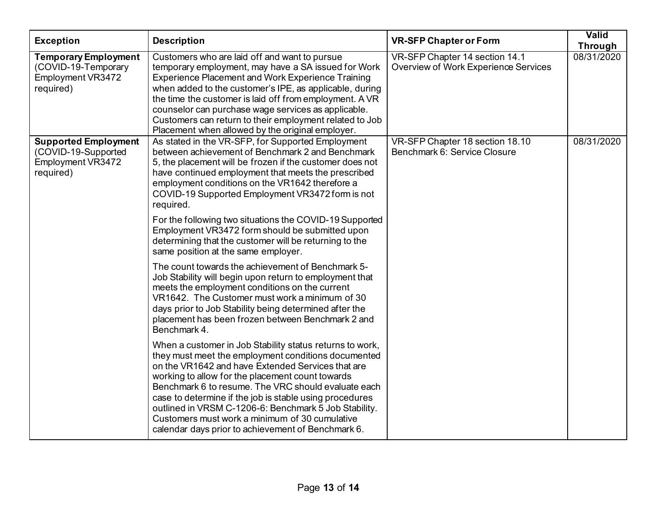| <b>Exception</b>                                                                     | <b>Description</b>                                                                                                                                                                                                                                                                                                                                                                                                                                                                                          | <b>VR-SFP Chapter or Form</b>                                          | Valid<br>Through |
|--------------------------------------------------------------------------------------|-------------------------------------------------------------------------------------------------------------------------------------------------------------------------------------------------------------------------------------------------------------------------------------------------------------------------------------------------------------------------------------------------------------------------------------------------------------------------------------------------------------|------------------------------------------------------------------------|------------------|
| <b>Temporary Employment</b><br>(COVID-19-Temporary<br>Employment VR3472<br>required) | Customers who are laid off and want to pursue<br>temporary employment, may have a SA issued for Work<br><b>Experience Placement and Work Experience Training</b><br>when added to the customer's IPE, as applicable, during<br>the time the customer is laid off from employment. A VR<br>counselor can purchase wage services as applicable.<br>Customers can return to their employment related to Job<br>Placement when allowed by the original employer.                                                | VR-SFP Chapter 14 section 14.1<br>Overview of Work Experience Services | 08/31/2020       |
| <b>Supported Employment</b><br>(COVID-19-Supported<br>Employment VR3472<br>required) | As stated in the VR-SFP, for Supported Employment<br>between achievement of Benchmark 2 and Benchmark<br>5, the placement will be frozen if the customer does not<br>have continued employment that meets the prescribed<br>employment conditions on the VR1642 therefore a<br>COVID-19 Supported Employment VR3472 form is not<br>required.                                                                                                                                                                | VR-SFP Chapter 18 section 18.10<br>Benchmark 6: Service Closure        | 08/31/2020       |
|                                                                                      | For the following two situations the COVID-19 Supported<br>Employment VR3472 form should be submitted upon<br>determining that the customer will be returning to the<br>same position at the same employer.                                                                                                                                                                                                                                                                                                 |                                                                        |                  |
|                                                                                      | The count towards the achievement of Benchmark 5-<br>Job Stability will begin upon return to employment that<br>meets the employment conditions on the current<br>VR1642. The Customer must work a minimum of 30<br>days prior to Job Stability being determined after the<br>placement has been frozen between Benchmark 2 and<br>Benchmark 4.                                                                                                                                                             |                                                                        |                  |
|                                                                                      | When a customer in Job Stability status returns to work,<br>they must meet the employment conditions documented<br>on the VR1642 and have Extended Services that are<br>working to allow for the placement count towards<br>Benchmark 6 to resume. The VRC should evaluate each<br>case to determine if the job is stable using procedures<br>outlined in VRSM C-1206-6: Benchmark 5 Job Stability.<br>Customers must work a minimum of 30 cumulative<br>calendar days prior to achievement of Benchmark 6. |                                                                        |                  |